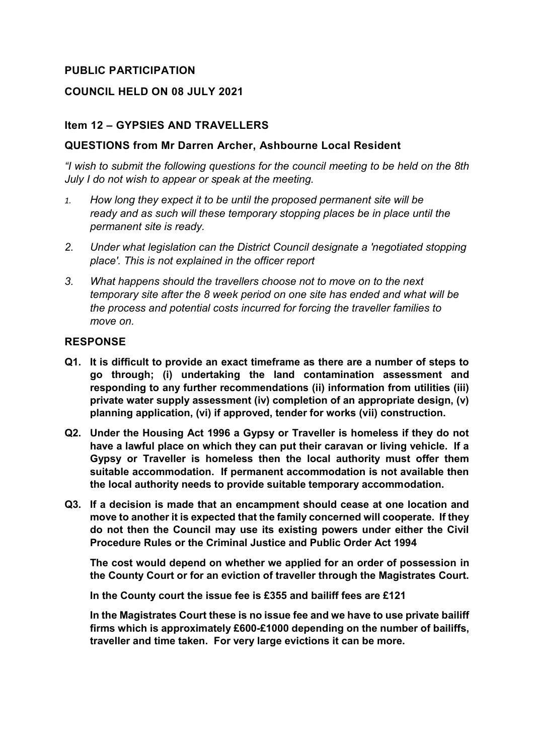# **PUBLIC PARTICIPATION**

### **COUNCIL HELD ON 08 JULY 2021**

### **Item 12 – GYPSIES AND TRAVELLERS**

### **QUESTIONS from Mr Darren Archer, Ashbourne Local Resident**

*"I wish to submit the following questions for the council meeting to be held on the 8th July I do not wish to appear or speak at the meeting.*

- *1. How long they expect it to be until the proposed permanent site will be ready and as such will these temporary stopping places be in place until the permanent site is ready.*
- *2. Under what legislation can the District Council designate a 'negotiated stopping place'. This is not explained in the officer report*
- *3. What happens should the travellers choose not to move on to the next temporary site after the 8 week period on one site has ended and what will be the process and potential costs incurred for forcing the traveller families to move on.*

#### **RESPONSE**

- **Q1. It is difficult to provide an exact timeframe as there are a number of steps to go through; (i) undertaking the land contamination assessment and responding to any further recommendations (ii) information from utilities (iii) private water supply assessment (iv) completion of an appropriate design, (v) planning application, (vi) if approved, tender for works (vii) construction.**
- **Q2. Under the Housing Act 1996 a Gypsy or Traveller is homeless if they do not have a lawful place on which they can put their caravan or living vehicle. If a Gypsy or Traveller is homeless then the local authority must offer them suitable accommodation. If permanent accommodation is not available then the local authority needs to provide suitable temporary accommodation.**
- **Q3. If a decision is made that an encampment should cease at one location and move to another it is expected that the family concerned will cooperate. If they do not then the Council may use its existing powers under either the Civil Procedure Rules or the Criminal Justice and Public Order Act 1994**

**The cost would depend on whether we applied for an order of possession in the County Court or for an eviction of traveller through the Magistrates Court.**

**In the County court the issue fee is £355 and bailiff fees are £121**

**In the Magistrates Court these is no issue fee and we have to use private bailiff firms which is approximately £600-£1000 depending on the number of bailiffs, traveller and time taken. For very large evictions it can be more.**